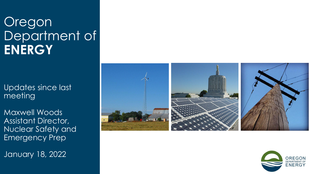#### **Oregon** Department of **ENERGY**

Updates since last meeting

Maxwell Woods Assistant Director, Nuclear Safety and Emergency Prep

January 18, 2022



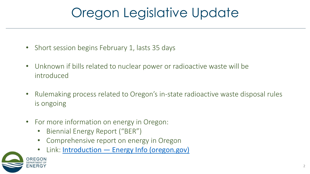# Oregon Legislative Update

- Short session begins February 1, lasts 35 days
- Unknown if bills related to nuclear power or radioactive waste will be introduced
- Rulemaking process related to Oregon's in-state radioactive waste disposal rules is ongoing
- For more information on energy in Oregon:
	- Biennial Energy Report ("BER")
	- Comprehensive report on energy in Oregon
	- Link: Introduction [Energy Info \(oregon.gov\)](https://energyinfo.oregon.gov/ber)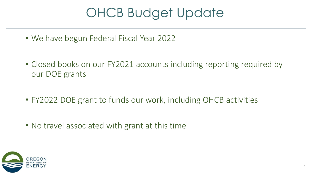#### OHCB Budget Update

- We have begun Federal Fiscal Year 2022
- Closed books on our FY2021 accounts including reporting required by our DOE grants
- FY2022 DOE grant to funds our work, including OHCB activities
- No travel associated with grant at this time

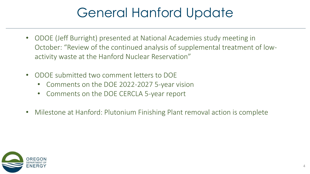### General Hanford Update

- ODOE (Jeff Burright) presented at National Academies study meeting in October: "Review of the continued analysis of supplemental treatment of lowactivity waste at the Hanford Nuclear Reservation"
- ODOE submitted two comment letters to DOE
	- Comments on the DOE 2022-2027 5-year vision
	- Comments on the DOE CERCLA 5-year report
- Milestone at Hanford: Plutonium Finishing Plant removal action is complete

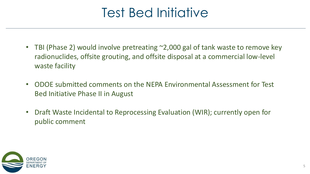### Test Bed Initiative

- TBI (Phase 2) would involve pretreating ~2,000 gal of tank waste to remove key radionuclides, offsite grouting, and offsite disposal at a commercial low-level waste facility
- ODOE submitted comments on the NEPA Environmental Assessment for Test Bed Initiative Phase II in August
- Draft Waste Incidental to Reprocessing Evaluation (WIR); currently open for public comment